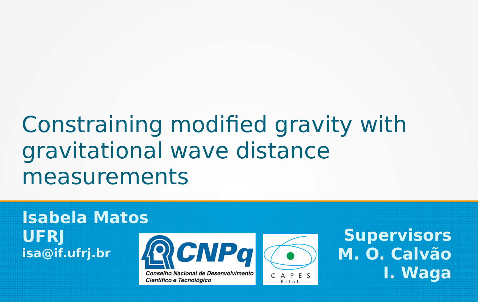## Constraining modified gravity with gravitational wave distance measurements

#### **Isabela Matos UFRJ isa@if.ufrj.br**



Conselho Nacional de Desenvolvimento Científico e Tecnológico



**Supervisors M. O. Calvão I. Waga**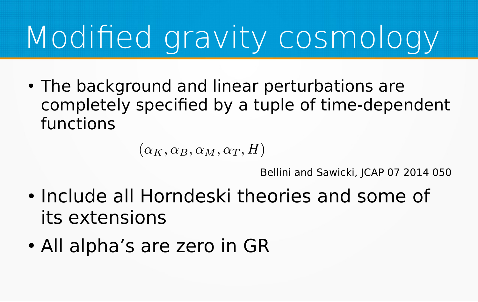# Modified gravity cosmology

• The background and linear perturbations are completely specified by a tuple of time-dependent functions

 $(\alpha_K, \alpha_B, \alpha_M, \alpha_T, H)$ 

Bellini and Sawicki, JCAP 07 2014 050

- Include all Horndeski theories and some of its extensions
- All alpha's are zero in GR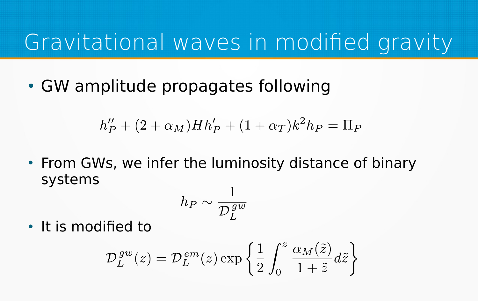## Gravitational waves in modified gravity

• GW amplitude propagates following

$$
h_P'' + (2 + \alpha_M) H h_P' + (1 + \alpha_T) k^2 h_P = \Pi_P
$$

• From GWs, we infer the luminosity distance of binary systems

$$
h_P\sim \frac{1}{\mathcal{D}_L^{gw}}
$$

• It is modified to

$$
\mathcal{D}_L^{gw}(z) = \mathcal{D}_L^{em}(z) \exp\left\{\frac{1}{2} \int_0^z \frac{\alpha_M(\tilde{z})}{1+\tilde{z}} d\tilde{z}\right\}
$$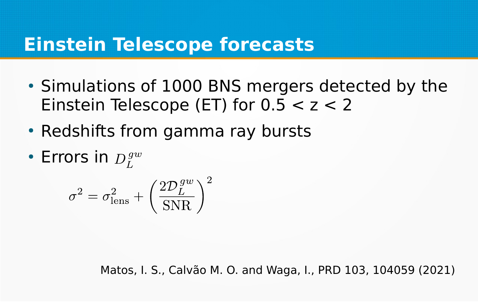#### **Einstein Telescope forecasts**

- Simulations of 1000 BNS mergers detected by the Einstein Telescope (ET) for  $0.5 < z < 2$
- Redshifts from gamma ray bursts
- Errors in  $D_1^{gw}$

$$
\sigma^2 = \sigma_{\rm lens}^2 + \left(\frac{2\mathcal{D}_L^{gw}}{\rm SNR}\right)^2
$$

Matos, I. S., Calvão M. O. and Waga, I., PRD 103, 104059 (2021)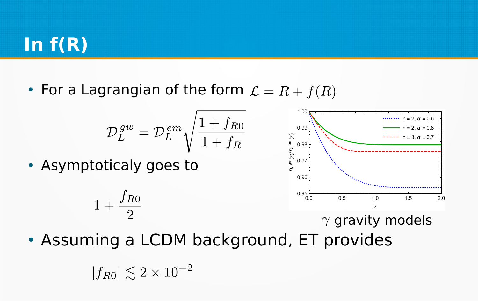#### **In f(R)**

• For a Lagrangian of the form  $\mathcal{L} = R + f(R)$ 

$$
\mathcal{D}_L^{gw}=\mathcal{D}_L^{em}\sqrt{\frac{1+f_{R0}}{1+f_R}}
$$

• Asymptoticaly goes to

$$
1+\frac{f_{R0}}{2}
$$



• Assuming a LCDM background, ET provides  $\gamma$  gravity models

 $|f_{R0}| \lesssim 2 \times 10^{-2}$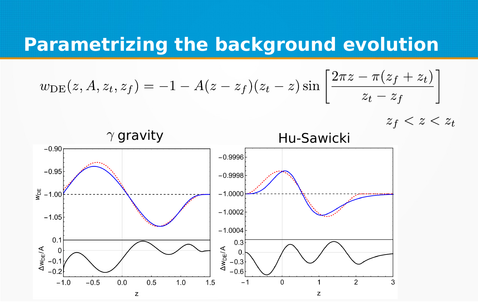#### **Parametrizing the background evolution**

$$
w_{\rm DE}(z, A, z_t, z_f) = -1 - A(z - z_f)(z_t - z) \sin \left[\frac{2\pi z - \pi (z_f + z_t)}{z_t - z_f}\right]
$$

 $z_f < z < z_t$ 

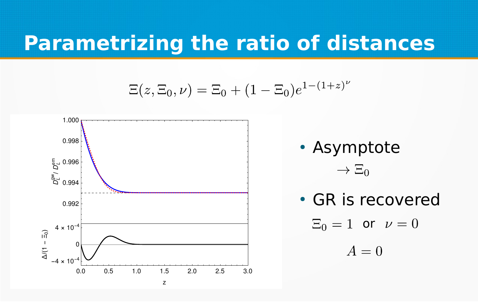#### **Parametrizing the ratio of distances**

$$
\Xi(z,\Xi_0,\nu)=\Xi_0+(1-\Xi_0)e^{1-(1+z)^\nu}
$$



- Asymptote  $\rightarrow \Xi_0$
- GR is recovered

$$
\Xi_0 = 1 \text{ or } \nu = 0
$$

 $A=0$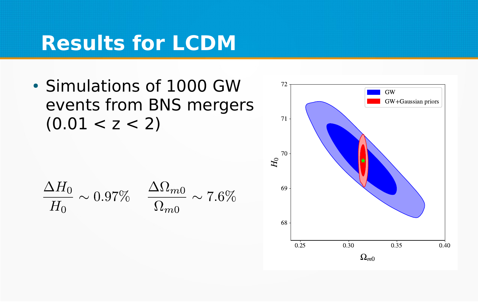#### **Results for LCDM**

• Simulations of 1000 GW events from BNS mergers  $(0.01 < z < 2)$ 

$$
\frac{\Delta H_0}{H_0} \sim 0.97\% \quad \frac{\Delta \Omega_{m0}}{\Omega_{m0}} \sim 7.6\%
$$

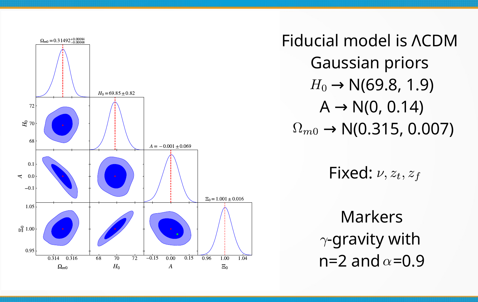

Fiducial model is ΛCDM Gaussian priors  $H_0 \to N(69.8, 1.9)$  $A \rightarrow N(0, 0.14)$  $\Omega_{m0}$  → N(0.315, 0.007)

Fixed:  $\nu, z_t, z_f$ 

Markers  $\gamma$ -gravity with  $n=2$  and  $\alpha=0.9$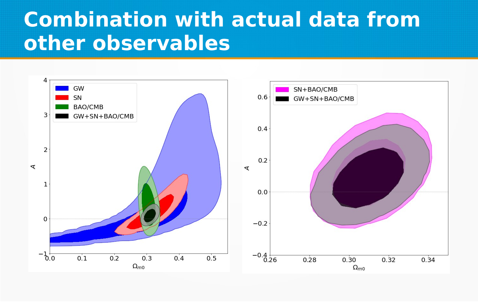### **Combination with actual data from other observables**